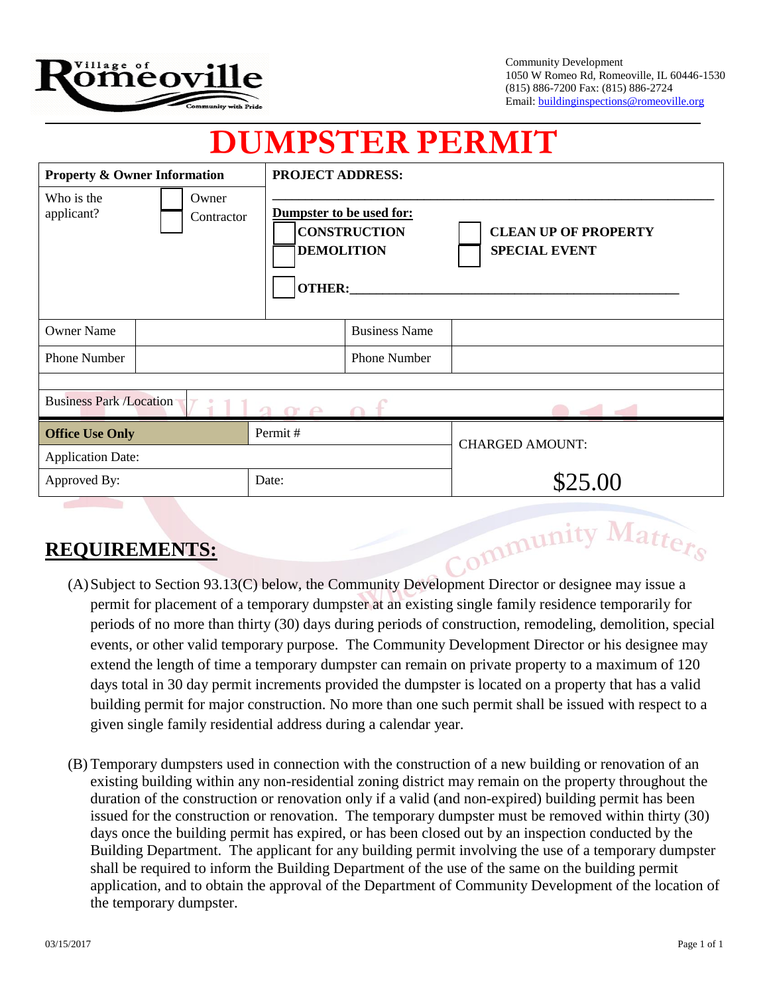

Community Development 1050 W Romeo Rd, Romeoville, IL 60446-1530 (815) 886-7200 Fax: (815) 886-2724 Email: buildinginspections@romeoville.org

## **DUMPSTER PERMIT**

| <b>Property &amp; Owner Information</b><br>Who is the<br>Owner<br>applicant?<br>Contractor |  |               | <b>PROJECT ADDRESS:</b><br>Dumpster to be used for:<br><b>CONSTRUCTION</b><br><b>CLEAN UP OF PROPERTY</b><br><b>DEMOLITION</b><br><b>SPECIAL EVENT</b> |                        |
|--------------------------------------------------------------------------------------------|--|---------------|--------------------------------------------------------------------------------------------------------------------------------------------------------|------------------------|
|                                                                                            |  | <b>OTHER:</b> |                                                                                                                                                        |                        |
| <b>Owner Name</b>                                                                          |  |               | <b>Business Name</b>                                                                                                                                   |                        |
| <b>Phone Number</b>                                                                        |  |               | <b>Phone Number</b>                                                                                                                                    |                        |
|                                                                                            |  |               |                                                                                                                                                        |                        |
| <b>Business Park /Location</b><br>90P                                                      |  |               |                                                                                                                                                        |                        |
| <b>Office Use Only</b>                                                                     |  | Permit#       |                                                                                                                                                        | <b>CHARGED AMOUNT:</b> |
| <b>Application Date:</b>                                                                   |  |               |                                                                                                                                                        |                        |
| Approved By:                                                                               |  | Date:         |                                                                                                                                                        | \$25.00                |
| Community Matters<br><b>REQUIREMENTS:</b>                                                  |  |               |                                                                                                                                                        |                        |

## **REQUIREMENTS:**

- (A)Subject to Section 93.13(C) below, the Community Development Director or designee may issue a permit for placement of a temporary dumpster at an existing single family residence temporarily for periods of no more than thirty (30) days during periods of construction, remodeling, demolition, special events, or other valid temporary purpose. The Community Development Director or his designee may extend the length of time a temporary dumpster can remain on private property to a maximum of 120 days total in 30 day permit increments provided the dumpster is located on a property that has a valid building permit for major construction. No more than one such permit shall be issued with respect to a given single family residential address during a calendar year.
- (B) Temporary dumpsters used in connection with the construction of a new building or renovation of an existing building within any non-residential zoning district may remain on the property throughout the duration of the construction or renovation only if a valid (and non-expired) building permit has been issued for the construction or renovation. The temporary dumpster must be removed within thirty (30) days once the building permit has expired, or has been closed out by an inspection conducted by the Building Department. The applicant for any building permit involving the use of a temporary dumpster shall be required to inform the Building Department of the use of the same on the building permit application, and to obtain the approval of the Department of Community Development of the location of the temporary dumpster.